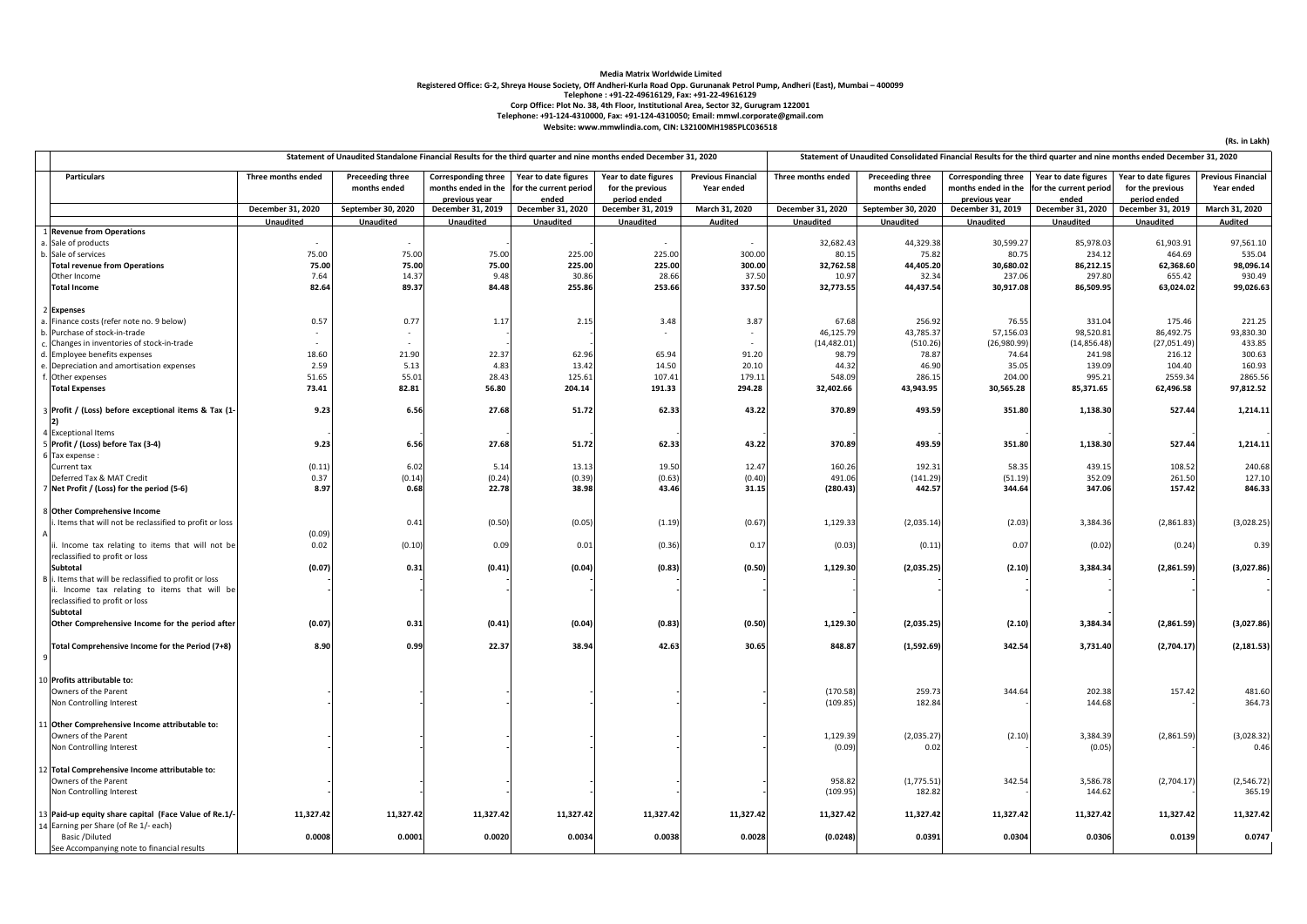## **Media Matrix Worldwide Limited** Registered Office: G-2, Shreya House Society, Off Andheri-Kurla Road Opp. Gurunanak Petrol Pump, Andheri (East), Mumbai – 400099<br>Telephone : +91-22-49616129, Fax: +91-22-49616129<br>Corp Office: Plot No. 38, 4th Floor, Insti **Telephone: +91-124-4310000, Fax: +91-124-4310050; Email: mmwl.corporate@gmail.com Website: www.mmwlindia.com, CIN: L32100MH1985PLC036518**

|                |                                                          | Statement of Unaudited Standalone Financial Results for the third quarter and nine months ended December 31, 2020 |                                         |                                                                    |                                                         |                                                          |                                         | Statement of Unaudited Consolidated Financial Results for the third quarter and nine months ended December 31, 2020 |                                         |                                                                    |                                                         |                                                          |                                         |
|----------------|----------------------------------------------------------|-------------------------------------------------------------------------------------------------------------------|-----------------------------------------|--------------------------------------------------------------------|---------------------------------------------------------|----------------------------------------------------------|-----------------------------------------|---------------------------------------------------------------------------------------------------------------------|-----------------------------------------|--------------------------------------------------------------------|---------------------------------------------------------|----------------------------------------------------------|-----------------------------------------|
|                | Particulars                                              | Three months ended                                                                                                | <b>Preceeding three</b><br>months ended | <b>Corresponding three</b><br>months ended in the<br>previous year | Year to date figures<br>for the current period<br>ended | Year to date figures<br>for the previous<br>period ended | <b>Previous Financial</b><br>Year ended | Three months ended                                                                                                  | <b>Preceeding three</b><br>months ended | <b>Corresponding three</b><br>months ended in the<br>previous year | Year to date figures<br>for the current period<br>ended | Year to date figures<br>for the previous<br>period ended | <b>Previous Financial</b><br>Year ended |
|                |                                                          | December 31, 2020                                                                                                 | September 30, 2020                      | December 31, 2019                                                  | December 31, 2020                                       | December 31, 2019                                        | March 31, 2020                          | December 31, 2020                                                                                                   | September 30, 2020                      | December 31, 2019                                                  | December 31, 2020                                       | December 31, 2019                                        | March 31, 2020                          |
|                |                                                          | Unaudited                                                                                                         | Unaudited                               | <b>Unaudited</b>                                                   | Unaudited                                               | <b>Unaudited</b>                                         | Audited                                 | Unaudited                                                                                                           | Unaudited                               | Unaudited                                                          | Unaudited                                               | Unaudited                                                | <b>Audited</b>                          |
|                | 1 Revenue from Operations                                |                                                                                                                   |                                         |                                                                    |                                                         |                                                          |                                         |                                                                                                                     |                                         |                                                                    |                                                         |                                                          |                                         |
|                | a. Sale of products                                      |                                                                                                                   |                                         |                                                                    |                                                         |                                                          |                                         | 32,682.43                                                                                                           | 44,329.38                               | 30,599.27                                                          | 85,978.03                                               | 61,903.91                                                | 97,561.10                               |
|                | b. Sale of services                                      | 75.00                                                                                                             | 75.00                                   | 75.00                                                              | 225.00                                                  | 225.00                                                   | 300.00                                  | 80.15                                                                                                               | 75.82                                   | 80.75                                                              | 234.12                                                  | 464.69                                                   | 535.04                                  |
|                | <b>Total revenue from Operations</b>                     | 75.00                                                                                                             | 75.00                                   | 75.00                                                              | 225.00                                                  | 225.00                                                   | 300.00                                  | 32,762.58                                                                                                           | 44,405.20                               | 30,680.02                                                          | 86,212.15                                               | 62,368.60                                                | 98,096.14                               |
|                | Other Income                                             | 7.64                                                                                                              | 14.37                                   | 9.48                                                               | 30.86                                                   | 28.66                                                    | 37.50                                   | 10.97                                                                                                               | 32.34                                   | 237.06                                                             | 297.80                                                  | 655.42                                                   | 930.49                                  |
|                | <b>Total Income</b>                                      | 82.64                                                                                                             | 89.37                                   | 84.48                                                              | 255.86                                                  | 253.66                                                   | 337.50                                  | 32,773.55                                                                                                           | 44,437.54                               | 30,917.08                                                          | 86,509.95                                               | 63,024.02                                                | 99,026.63                               |
|                |                                                          |                                                                                                                   |                                         |                                                                    |                                                         |                                                          |                                         |                                                                                                                     |                                         |                                                                    |                                                         |                                                          |                                         |
|                | 2 Expenses                                               |                                                                                                                   |                                         |                                                                    |                                                         |                                                          |                                         |                                                                                                                     |                                         |                                                                    |                                                         |                                                          |                                         |
|                | a. Finance costs (refer note no. 9 below)                | 0.57                                                                                                              | 0.77                                    | 1.17                                                               | 2.15                                                    | 3.48                                                     | 3.87                                    | 67.68                                                                                                               | 256.92                                  | 76.55                                                              | 331.04                                                  | 175.46                                                   | 221.25                                  |
|                | b. Purchase of stock-in-trade                            |                                                                                                                   |                                         |                                                                    |                                                         |                                                          |                                         | 46,125.79                                                                                                           | 43,785.37                               | 57,156.03                                                          | 98,520.81                                               | 86,492.75                                                | 93,830.30                               |
|                | c. Changes in inventories of stock-in-trade              |                                                                                                                   |                                         |                                                                    |                                                         |                                                          |                                         | (14, 482.01)                                                                                                        | (510.26)                                | (26,980.99)                                                        | (14, 856.48)                                            | (27,051.49)                                              | 433.85                                  |
|                | d. Employee benefits expenses                            | 18.60                                                                                                             | 21.90                                   | 22.37                                                              | 62.96                                                   | 65.94                                                    | 91.20                                   | 98.79                                                                                                               | 78.87                                   | 74.64                                                              | 241.98                                                  | 216.12                                                   | 300.63                                  |
|                | e. Depreciation and amortisation expenses                | 2.59                                                                                                              | 5.13                                    | 4.83                                                               | 13.42                                                   | 14.50                                                    | 20.10                                   | 44.32                                                                                                               | 46.90                                   | 35.05                                                              | 139.09                                                  | 104.40                                                   | 160.93                                  |
|                | f. Other expenses                                        | 51.65                                                                                                             | 55.01                                   | 28.43                                                              | 125.61                                                  | 107.41                                                   | 179.11                                  | 548.09                                                                                                              | 286.15                                  | 204.00                                                             | 995.21                                                  | 2559.34                                                  | 2865.56                                 |
|                |                                                          | 73.41                                                                                                             | 82.81                                   | 56.80                                                              | 204.14                                                  | 191.33                                                   | 294.28                                  | 32,402.66                                                                                                           |                                         | 30,565.28                                                          | 85,371.65                                               | 62,496.58                                                | 97,812.52                               |
|                | <b>Total Expenses</b>                                    |                                                                                                                   |                                         |                                                                    |                                                         |                                                          |                                         |                                                                                                                     | 43,943.95                               |                                                                    |                                                         |                                                          |                                         |
|                | 3 Profit / (Loss) before exceptional items & Tax (1-     | 9.23                                                                                                              | 6.56                                    | 27.68                                                              | 51.72                                                   | 62.33                                                    | 43.22                                   | 370.89                                                                                                              | 493.59                                  | 351.80                                                             | 1,138.30                                                | 527.44                                                   | 1,214.11                                |
|                | 4 Exceptional Items                                      |                                                                                                                   |                                         |                                                                    |                                                         |                                                          |                                         |                                                                                                                     |                                         |                                                                    |                                                         |                                                          |                                         |
|                | 5 Profit / (Loss) before Tax (3-4)                       | 9.23                                                                                                              | 6.56                                    | 27.68                                                              | 51.72                                                   | 62.33                                                    | 43.22                                   | 370.89                                                                                                              | 493.59                                  | 351.80                                                             | 1,138.30                                                | 527.44                                                   | 1,214.11                                |
|                | 6 Tax expense :                                          |                                                                                                                   |                                         |                                                                    |                                                         |                                                          |                                         |                                                                                                                     |                                         |                                                                    |                                                         |                                                          |                                         |
|                | Current tax                                              | (0.11)                                                                                                            | 6.02                                    | 5.14                                                               | 13.13                                                   | 19.50                                                    | 12.47                                   | 160.26                                                                                                              | 192.31                                  | 58.35                                                              | 439.15                                                  | 108.52                                                   | 240.68                                  |
|                | Deferred Tax & MAT Credit                                | 0.37                                                                                                              | (0.14)                                  | (0.24)                                                             | (0.39)                                                  | (0.63)                                                   | (0.40)                                  | 491.06                                                                                                              | (141.29)                                | (51.19)                                                            | 352.09                                                  | 261.50                                                   | 127.10                                  |
|                | 7 Net Profit / (Loss) for the period (5-6)               | 8.97                                                                                                              | 0.68                                    | 22.78                                                              | 38.98                                                   | 43.46                                                    | 31.15                                   | (280.43)                                                                                                            | 442.57                                  | 344.64                                                             | 347.06                                                  | 157.42                                                   | 846.33                                  |
|                |                                                          |                                                                                                                   |                                         |                                                                    |                                                         |                                                          |                                         |                                                                                                                     |                                         |                                                                    |                                                         |                                                          |                                         |
|                | 8 Other Comprehensive Income                             |                                                                                                                   |                                         |                                                                    |                                                         |                                                          |                                         |                                                                                                                     |                                         |                                                                    |                                                         |                                                          |                                         |
|                | i. Items that will not be reclassified to profit or loss |                                                                                                                   | 0.41                                    | (0.50)                                                             | (0.05)                                                  | (1.19)                                                   | (0.67)                                  | 1,129.33                                                                                                            | (2,035.14)                              | (2.03)                                                             | 3,384.36                                                | (2,861.83)                                               | (3,028.25)                              |
|                |                                                          | (0.09)                                                                                                            |                                         |                                                                    |                                                         |                                                          |                                         |                                                                                                                     |                                         |                                                                    |                                                         |                                                          |                                         |
|                | ii. Income tax relating to items that will not be        | 0.02                                                                                                              | (0.10)                                  | 0.09                                                               | 0.01                                                    | (0.36)                                                   | 0.17                                    | (0.03)                                                                                                              | (0.11)                                  | 0.07                                                               | (0.02)                                                  | (0.24)                                                   | 0.39                                    |
|                | reclassified to profit or loss                           |                                                                                                                   |                                         |                                                                    |                                                         |                                                          |                                         |                                                                                                                     |                                         |                                                                    |                                                         |                                                          |                                         |
|                | <b>Subtotal</b>                                          | (0.07)                                                                                                            | 0.31                                    | (0.41)                                                             | (0.04)                                                  | (0.83)                                                   | (0.50)                                  | 1,129.30                                                                                                            | (2,035.25)                              | (2.10)                                                             | 3,384.34                                                | (2,861.59)                                               | (3,027.86)                              |
|                | B i. Items that will be reclassified to profit or loss   |                                                                                                                   |                                         |                                                                    |                                                         |                                                          |                                         |                                                                                                                     |                                         |                                                                    |                                                         |                                                          |                                         |
|                | ii. Income tax relating to items that will be            |                                                                                                                   |                                         |                                                                    |                                                         |                                                          |                                         |                                                                                                                     |                                         |                                                                    |                                                         |                                                          |                                         |
|                |                                                          |                                                                                                                   |                                         |                                                                    |                                                         |                                                          |                                         |                                                                                                                     |                                         |                                                                    |                                                         |                                                          |                                         |
|                | reclassified to profit or loss<br><b>Subtotal</b>        |                                                                                                                   |                                         |                                                                    |                                                         |                                                          |                                         |                                                                                                                     |                                         |                                                                    |                                                         |                                                          |                                         |
|                |                                                          |                                                                                                                   |                                         | (0.41)                                                             | (0.04)                                                  | (0.83)                                                   | (0.50)                                  | 1,129.30                                                                                                            |                                         |                                                                    | 3,384.34                                                |                                                          |                                         |
|                | Other Comprehensive Income for the period after          | (0.07)                                                                                                            | 0.31                                    |                                                                    |                                                         |                                                          |                                         |                                                                                                                     | (2,035.25)                              | (2.10)                                                             |                                                         | (2,861.59)                                               | (3,027.86)                              |
|                |                                                          |                                                                                                                   |                                         |                                                                    |                                                         |                                                          |                                         |                                                                                                                     |                                         |                                                                    |                                                         |                                                          |                                         |
|                | Total Comprehensive Income for the Period (7+8)          | 8.90                                                                                                              | 0.99                                    | 22.37                                                              | 38.94                                                   | 42.63                                                    | 30.65                                   | 848.87                                                                                                              | (1,592.69)                              | 342.54                                                             | 3,731.40                                                | (2,704.17)                                               | (2, 181.53)                             |
| 9 <sup>1</sup> |                                                          |                                                                                                                   |                                         |                                                                    |                                                         |                                                          |                                         |                                                                                                                     |                                         |                                                                    |                                                         |                                                          |                                         |
|                |                                                          |                                                                                                                   |                                         |                                                                    |                                                         |                                                          |                                         |                                                                                                                     |                                         |                                                                    |                                                         |                                                          |                                         |
|                | 10 Profits attributable to:                              |                                                                                                                   |                                         |                                                                    |                                                         |                                                          |                                         |                                                                                                                     |                                         |                                                                    |                                                         |                                                          |                                         |
|                | Owners of the Parent                                     |                                                                                                                   |                                         |                                                                    |                                                         |                                                          |                                         | (170.58)                                                                                                            | 259.73                                  | 344.64                                                             | 202.38                                                  | 157.42                                                   | 481.60                                  |
|                | Non Controlling Interest                                 |                                                                                                                   |                                         |                                                                    |                                                         |                                                          |                                         | (109.85)                                                                                                            | 182.84                                  |                                                                    | 144.68                                                  |                                                          | 364.73                                  |
|                |                                                          |                                                                                                                   |                                         |                                                                    |                                                         |                                                          |                                         |                                                                                                                     |                                         |                                                                    |                                                         |                                                          |                                         |
|                | 11 Other Comprehensive Income attributable to:           |                                                                                                                   |                                         |                                                                    |                                                         |                                                          |                                         |                                                                                                                     |                                         |                                                                    |                                                         |                                                          |                                         |
|                | Owners of the Parent                                     |                                                                                                                   |                                         |                                                                    |                                                         |                                                          |                                         | 1,129.39                                                                                                            | (2,035.27)                              | (2.10)                                                             | 3,384.39                                                | (2,861.59)                                               | (3,028.32)                              |
|                | Non Controlling Interest                                 |                                                                                                                   |                                         |                                                                    |                                                         |                                                          |                                         | (0.09)                                                                                                              | 0.02                                    |                                                                    | (0.05)                                                  |                                                          | 0.46                                    |
|                |                                                          |                                                                                                                   |                                         |                                                                    |                                                         |                                                          |                                         |                                                                                                                     |                                         |                                                                    |                                                         |                                                          |                                         |
|                | 12 Total Comprehensive Income attributable to:           |                                                                                                                   |                                         |                                                                    |                                                         |                                                          |                                         |                                                                                                                     |                                         |                                                                    |                                                         |                                                          |                                         |
|                | Owners of the Parent                                     |                                                                                                                   |                                         |                                                                    |                                                         |                                                          |                                         | 958.82                                                                                                              | (1,775.51)                              | 342.54                                                             | 3,586.78                                                | (2,704.17)                                               | (2,546.72)                              |
|                | Non Controlling Interest                                 |                                                                                                                   |                                         |                                                                    |                                                         |                                                          |                                         | (109.95)                                                                                                            | 182.82                                  |                                                                    | 144.62                                                  |                                                          | 365.19                                  |
|                |                                                          |                                                                                                                   |                                         |                                                                    |                                                         |                                                          |                                         |                                                                                                                     |                                         |                                                                    |                                                         |                                                          |                                         |
|                | 13 Paid-up equity share capital (Face Value of Re.1/-    | 11,327.42                                                                                                         | 11,327.42                               | 11,327.42                                                          | 11,327.42                                               | 11,327.42                                                | 11,327.42                               | 11,327.42                                                                                                           | 11,327.42                               | 11,327.42                                                          | 11,327.42                                               | 11,327.42                                                | 11,327.42                               |
|                | 14 Earning per Share (of Re 1/- each)                    |                                                                                                                   |                                         |                                                                    |                                                         |                                                          |                                         |                                                                                                                     |                                         |                                                                    |                                                         |                                                          |                                         |
|                | Basic /Diluted                                           | 0.0008                                                                                                            | 0.0001                                  | 0.0020                                                             | 0.0034                                                  | 0.0038                                                   | 0.0028                                  | (0.0248)                                                                                                            | 0.0391                                  | 0.0304                                                             | 0.0306                                                  | 0.0139                                                   | 0.0747                                  |
|                | See Accompanying note to financial results               |                                                                                                                   |                                         |                                                                    |                                                         |                                                          |                                         |                                                                                                                     |                                         |                                                                    |                                                         |                                                          |                                         |

**(Rs. in Lakh)**